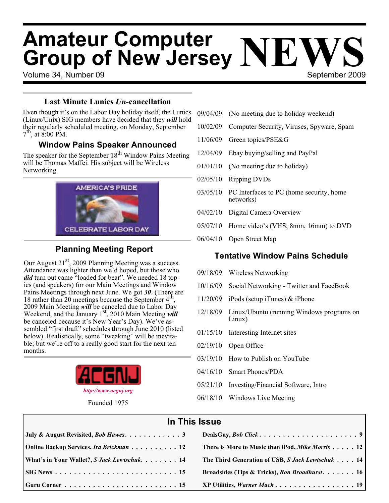# **Amateur Computer Group of New Jersey NEWS**

Volume 34, Number 09 September 2009

## **Last Minute Lunics** *Un***-cancellation**

Even though it's on the Labor Day holiday itself, the Lunics (Linux/Unix) SIG members have decided that they *will* hold their regularly scheduled meeting, on Monday, September  $7<sup>th</sup>$ , at 8:00 PM.

## **Window Pains Speaker Announced**

The speaker for the September  $18<sup>th</sup>$  Window Pains Meeting will be Thomas Maffei. His subject will be Wireless Networking.



# **Planning Meeting Report**

Our August  $21<sup>st</sup>$ , 2009 Planning Meeting was a success. Attendance was lighter than we'd hoped, but those who *did* turn out came "loaded for bear". We needed 18 topics (and speakers) for our Main Meetings and Window Pains Meetings through next June. We got 30. (There are 18 rather than 20 meetings because the September 4<sup>th</sup>, 2009 Main Meeting *will* be canceled due to Labor Day Weekend, and the January 1st, 2010 Main Meeting *will* be canceled because it's New Year's Day). We've assembled "first draft" schedules through June 2010 (listed below). Realistically, some "tweaking" will be inevitable; but we're off to a really good start for the next ten months.



*<http://www.acgnj.org>*

Founded 1975

|  | 09/04/09 (No meeting due to holiday weekend) |  |  |  |
|--|----------------------------------------------|--|--|--|
|--|----------------------------------------------|--|--|--|

- 10/02/09 Computer Security, Viruses, Spyware, Spam
- 11/06/09 Green topics/PSE&G
- 12/04/09 Ebay buying/selling and PayPal
- 01/01/10 (No meeting due to holiday)
- 02/05/10 Ripping DVDs
- 03/05/10 PC Interfaces to PC (home security, home networks)
- 04/02/10 Digital Camera Overview
- 05/07/10 Home video's (VHS, 8mm, 16mm) to DVD
- 06/04/10 Open Street Map

## **Tentative Window Pains Schedule**

- 09/18/09 Wireless Networking
- 10/16/09 Social Networking Twitter and FaceBook
- 11/20/09 iPods (setup iTunes) & iPhone
- 12/18/09 Linux/Ubuntu (running Windows programs on Linux)
- 01/15/10 Interesting Internet sites
- 02/19/10 Open Office
- 03/19/10 How to Publish on YouTube
- 04/16/10 Smart Phones/PDA
- 05/21/10 Investing/Financial Software, Intro
- 06/18/10 Windows Live Meeting

## **In This Issue**

| July & August Revisited, <i>Bob Hawes.</i> $\ldots \ldots \ldots \ldots 3$                     |                                                          |
|------------------------------------------------------------------------------------------------|----------------------------------------------------------|
| <b>Online Backup Services, Ira Brickman 12</b>                                                 | There is More to Music than iPod, Mike Morris $\dots$ 12 |
| What's in Your Wallet?, S Jack Lewtschuk 14                                                    | The Third Generation of USB, S Jack Lewtschuk 14         |
|                                                                                                | Broadsides (Tips & Tricks), Ron Broadhurst 16            |
| $\vert$ Guru Corner $\ldots \ldots \ldots \ldots \ldots \ldots \ldots \ldots \ldots \ldots$ 15 |                                                          |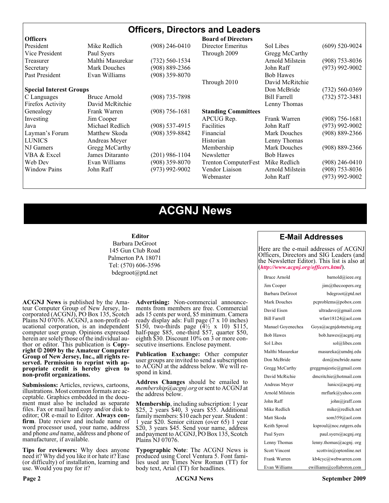#### **Officers, Directors and Leaders Officers Board of Directors**<br> **President Director Mike Redlich** (908) 246-0410 Director Emeritus President Mike Redlich (908) 246-0410 Director Emeritus Sol Libes (609) 520-9024 Vice President Paul Syers **Property** Through 2009 Gregg McCarthy Treasurer Malthi Masurekar (732) 560-1534 Arnold Milstein (908) 753-8036 Secretary Mark Douches (908) 889-2366 John Raff (973) 992-9002 Past President Evan Williams (908) 359-8070 Bob Hawes Through 2010 David McRitchie **Special Interest Groups Don McBride** (732) 560-0369 C Languages Bruce Arnold (908) 735-7898 Bill Farrell (732) 572-3481 Firefox Activity David McRitchie Lenny Thomas Genealogy Frank Warren (908) 756-1681 **Standing Committees** Investing Jim Cooper APCUG Rep. Frank Warren (908) 756-1681 Java Michael Redlich (908) 537-4915 Facilities John Raff (973) 992-9002 Layman's Forum Matthew Skoda (908) 359-8842 Financial Mark Douches (908) 889-2366 LUNICS Andreas Meyer Historian Historian Lenny Thomas NJ Gamers Gregg McCarthy Membership Mark Douches (908) 889-2366 VBA & Excel James Ditaranto (201) 986-1104 Newsletter Bob Hawes Web Dev Evan Williams (908) 359-8070 Trenton ComputerFest Mike Redlich (908) 246-0410 Window Pains John Raff (973) 992-9002 Vendor Liaison Arnold Milstein (908) 753-8036 Webmaster John Raff (973) 992-9002

# **ACGNJ News**

#### **Editor**

Barbara DeGroot 145 Gun Club Road Palmerton PA 18071 Tel: (570) 606-3596 bdegroot@ptd.net

**ACGNJ News** is published by the Ama- teur Computer Group of New Jersey, In- corporated (ACGNJ), PO Box 135, Scotch Plains NJ 07076. ACGNJ, a non-profit ed-<br>ucational corporation, is an independent computer user group. Opinions expressed herein are solely those of the individual author or editor. This publication is **Copy-**<br>**right** © 2009 by the Amateur Computer<br>**Group of New Jersey, Inc., all rights re-Group of New Jersey, Inc., all rights re- served. Permission to reprint with ap- propriate credit is hereby given to non-profit organizations.**

**Submissions:** Articles, reviews, cartoons, illustrations. Most common formats are ac- ceptable. Graphics embedded in the docu- ment must also be included as separate files. Fax or mail hard copy and/or disk to editor; OR e-mail to Editor. Always confirm. Date review and include name of word processor used, your name, address and phone *and* name, address and phone of manufacturer, if available.

**Tips for reviewers:** Why does anyone need it? Why did you like it or hate it? Ease (or difficulty) of installation, learning and use. Would you pay for it?

**Advertising:** Non-commercial announce- ments from members are free. Commercial ads 15 cents per word, \$5 minimum. Camera ready display ads: Full page (7 x 10 inches) \$150, two-thirds page  $(4\frac{1}{2} \times 10)$  \$115, half-page \$85, one-third \$57, quarter \$50, eighth \$30. Discount 10% on 3 or more con- secutive insertions. Enclose payment.

**Publication Exchange:** Other computer user groups are invited to send a subscription to ACGNJ at the address below. We will re- spond in kind.

**Address Changes** should be emailed to *membership@acgnj.org* or sent to ACGNJ at the address below.

**Membership**, including subscription: 1 year \$25, 2 years \$40, 3 years \$55. Additional family members: \$10 each per year. Student : 1 year \$20. Senior citizen (over 65) 1 year \$20, 3 years \$45. Send your name, address and payment to ACGNJ, PO Box 135, Scotch Plains NJ 07076.

**Typographic Note**: The ACGNJ News is produced using Corel Ventura 5. Font fami- lies used are Times New Roman (TT) for body text, Arial (TT) for headlines.

#### **E-Mail Addresses**

Here are the e-mail addresses of ACGNJ Officers, Directors and SIG Leaders (and the Newsletter Editor). This list is also at (*<http://www.acgnj.org/officers.html>*).

| Bruce Arnold         | barnold@ieee.org                     |
|----------------------|--------------------------------------|
| Jim Cooper           | jim@thecoopers.org                   |
| Barbara DeGroot      | bdegroot@ptd.net                     |
| Mark Douches         | pcproblems@pobox.com                 |
| David Eisen          | ultradave@gmail.com                  |
| <b>Bill Farrell</b>  | wfarr18124@aol.com                   |
| Manuel Goyenechea    | Goya@acgnidotnetsig.org              |
| <b>Bob Hawes</b>     | bob.hawes@acgnj.org                  |
| Sol Libes            | sol@libes.com                        |
| Malthi Masurekar     | masureka@umdnj.edu                   |
| Don McBride          | don@mcbride.name                     |
| Gregg McCarthy       | greggmajestic@gmail.com              |
| David McRichie       | dmcritchie@hotmail.com               |
| Andreas Meyer        | lunics@acgnj.org                     |
| Arnold Milstein      | mrflark@yahoo.com                    |
| John Raff            | $\overline{\text{iohn}(a)}$ raff.com |
| Mike Redlich         | mike@redlich.net                     |
| Matt Skoda           | som359@aol.com                       |
| Keith Sproul         | ksproul@noc.rutgers.edu              |
| Paul Syers           | paul.syers@acgnj.org                 |
| Lenny Thomas         | lenny.thomas@acgnj.org               |
| <b>Scott Vincent</b> | scottvin@optonline.net               |
| Frank Warren         | kb4cyc@webwarren.com                 |
| Evan Williams        | ewilliams@collaboron.com             |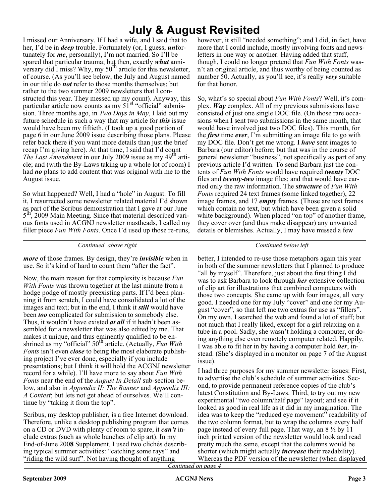# **July & August Revisited**

I missed our Anniversary. If I had a wife, and I said that to her, I'd be in *deep* trouble. Fortunately (or, I guess, *un*fortunately for *me*, personally), I'm not married. So I'll be spared that particular trauma; but then, exactly *what* anniversary did I miss? Why, my 50<sup>th</sup> article for this newsletter, of course. (As you'll see below, the July and August named in our title do *not* refer to those months themselves; but rather to the two summer 2009 newsletters that I constructed this year. They messed up my count). Anyway, this particular article now counts as my 51<sup>st</sup> "official" submission. Three months ago, in *Two Days in May*, I laid out my future schedule in such a way that my article for *this* issue would have been my fiftieth. (I took up a good portion of page 6 in our June 2009 issue describing those plans. Please refer back there if you want more details than just the brief recap I'm giving here). At that time, I said that I'd count *The Last Amendment* in our July 2009 issue as my 49<sup>th</sup> article; and (with the By-Laws taking up a whole lot of room) I had *no* plans to add content that was original with me to the August issue.

So what happened? Well, I had a "hole" in August. To fill it, I resurrected some newsletter related material I'd shown as part of the Scribus demonstration that I gave at our June  $5<sup>th</sup>$ , 2009 Main Meeting. Since that material described various fonts used in ACGNJ newsletter mastheads, I called my filler piece *Fun With Fonts*. Once I'd used up those re-runs,

however, it still "needed something"; and I did, in fact, have more that I could include, mostly involving fonts and newsletters in one way or another. Having added that stuff, though, I could no longer pretend that *Fun With Fonts* wasn't an original article, and thus worthy of being counted as number 50. Actually, as you'll see, it's really *very* suitable for that honor.

So, what's so special about *Fun With Fonts*? Well, it's complex. *Way* complex. All of my previous submissions have consisted of just one single DOC file. (On those rare occasions when I sent two submissions in the same month, that would have involved just two DOC files). This month, for the *first* time *ever*, I'm submitting an image file to go with my DOC file. Don't get me wrong. I *have* sent images to Barbara (our editor) before; but that was in the course of general newsletter "business", not specifically as part of any previous article I'd written. To send Barbara just the contents of *Fun With Fonts* would have required *twenty* DOC files and *twenty-two* image files; and that would have carried only the raw information. The *structure* of *Fun With Fonts* required 24 text frames (some linked together), 22 image frames, and 17 *empty* frames. (Those are text frames which contain no text, but which have been given a solid white background). When placed "on top" of another frame, they cover over (and thus make disappear) any unwanted details or blemishes. Actually, I may have missed a few

| Continued above right                                                                                                                 | Continued below left                                                                                                                                                                                                                                                                                  |
|---------------------------------------------------------------------------------------------------------------------------------------|-------------------------------------------------------------------------------------------------------------------------------------------------------------------------------------------------------------------------------------------------------------------------------------------------------|
| <i>more</i> of those frames. By design, they're <i>invisible</i> when in<br>use. So it's kind of hard to count them "after the fact". | better, I intended to re-use those metaphors again this year<br>in both of the summer newsletters that I planned to produce<br>$\alpha$ 111 $\alpha$ 100 $\alpha$ 1 $\alpha$ 1 $\alpha$ 1 $\alpha$ 1 $\alpha$ 1 $\alpha$ 1 $\alpha$ 1 $\alpha$ 1 $\alpha$ 1 $\alpha$ 1 $\alpha$ 1 $\alpha$ 1 $\alpha$ |

Now, the main reason for that complexity is because *Fun With Fonts* was thrown together at the last minute from a hodge podge of mostly preexisting parts. If I'd been planning it from scratch, I could have consolidated a lot of the images and text; but in the end, I think it *still* would have been *too* complicated for submission to somebody else. Thus, it wouldn't have existed *at all* if it hadn't been assembled for a newsletter that was also edited by me. That makes it unique, and thus eminently qualified to be enshrined as my "official" 50<sup>th</sup> article. (Actually, *Fun With Fonts* isn't even *close* to being the most elaborate publishing project I've ever done, especially if you include presentations; but I think it will hold the ACGNJ newsletter record for a while). I'll have more to say about *Fun With Fonts* near the end of the *August In Detail* sub-section below, and also in *Appendix II: The Banner* and *Appendix III: A Contest*; but lets not get ahead of ourselves. We'll continue by "taking it from the top".

Scribus, my desktop publisher, is a free Internet download. Therefore, unlike a desktop publishing program that comes on a CD or DVD with plenty of room to spare, it *can't* include extras (such as whole bunches of clip art). In my End-of-June 200**8** Supplement, I used two clichés describing typical summer activities: "catching some rays" and "riding the wild surf". Not having thought of anything

in both of the summer newsletters that I planned to produce "all by myself". Therefore, just about the first thing I did was to ask Barbara to look through *her* extensive collection of clip art for illustrations that combined computers with those two concepts. She came up with four images, all very good. I needed one for my July "cover" and one for my August "cover", so that left me two extras for use as "fillers". On my own, I searched the web and found a lot of stuff; but not much that I really liked, except for a girl relaxing on a tube in a pool. Sadly, she wasn't holding a computer, or doing anything else even remotely computer related. Happily, I was able to fit her in by having a computer hold *her*, instead. (She's displayed in a monitor on page 7 of the August issue).

I had three purposes for my summer newsletter issues: First, to advertise the club's schedule of summer activities. Second, to provide permanent reference copies of the club's latest Constitution and By-Laws. Third, to try out my new experimental "two column/half page" layout; and see if it looked as good in real life as it did in my imagination. The idea was to keep the "reduced eye movement" readability of the two column format, but to wrap the columns every half page instead of every full page. That way, an  $8\frac{1}{2}$  by 11 inch printed version of the newsletter would look and read pretty much the same, except that the columns would be shorter (which might actually *increase* their readability). Whereas the PDF version of the newsletter (when displayed *Continued on page 4*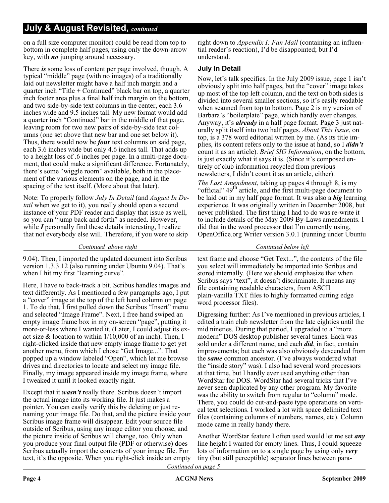on a full size computer monitor) could be read from top to bottom in complete half pages, using only the down-arrow key, with *no* jumping around necessary.

There *is* some loss of content per page involved, though. A typical "middle" page (with no images) of a traditionally laid out newsletter might have a half inch margin and a quarter inch "Title + Continued" black bar on top, a quarter inch footer area plus a final half inch margin on the bottom, and two side-by-side text columns in the center, each 3.6 inches wide and 9.5 inches tall. My new format would add a quarter inch "Continued" bar in the middle of that page, leaving room for two new pairs of side-by-side text columns (one set above that new bar and one set below it). Thus, there would now be *four* text columns on said page, each 3.6 inches wide but only 4.6 inches tall. That adds up to a height loss of .6 inches per page. In a multi-page document, that could make a significant difference. Fortunately, there's some "wiggle room" available, both in the placement of the various elements on the page, and in the spacing of the text itself. (More about that later).

Note: To properly follow *July In Detail* (and *August In Detail* when we get to it), you really should open a second instance of your PDF reader and display that issue as well, so you can "jump back and forth" as needed. However, while *I* personally find these details interesting, I realize that not everybody else will. Therefore, if you were to skip

*Continued above right Continued below left*

9.04). Then, I imported the updated document into Scribus version 1.3.3.12 (also running under Ubuntu 9.04). That's when I hit my first "learning curve".

Here, I have to back-track a bit. Scribus handles images and text differently. As I mentioned a few paragraphs ago, I put a "cover" image at the top of the left hand column on page 1. To do that, I first pulled down the Scribus "Insert" menu and selected "Image Frame". Next, I free hand swiped an empty image frame box in my on-screen "page", putting it more-or-less where I wanted it. (Later, I could adjust its exact size & location to within 1/10,000 of an inch). Then, I right-clicked inside that new empty image frame to get yet another menu, from which I chose "Get Image...". That popped up a window labeled "Open", which let me browse drives and directories to locate and select my image file. Finally, my image appeared inside my image frame, where I tweaked it until it looked exactly right.

Except that it *wasn't* really there. Scribus doesn't import the actual image into its working file. It just makes a pointer. You can easily verify this by deleting or just renaming your image file. Do that, and the picture inside your Scribus image frame will disappear. Edit your source file outside of Scribus, using any image editor you choose, and the picture inside of Scribus will change, too. Only when you produce your final output file (PDF or otherwise) does Scribus actually import the contents of your image file. For text, it's the opposite. When you right-click inside an empty right down to *Appendix I: Fan Mail* (containing an influential reader's reaction), I'd be disappointed; but I'd understand.

#### **July In Detail**

Now, let's talk specifics. In the July 2009 issue, page 1 isn't obviously split into half pages, but the "cover" image takes up most of the top left column, and the text on both sides is divided into several smaller sections, so it's easily readable when scanned from top to bottom. Page 2 is my version of Barbara's "boilerplate" page, which hardly ever changes. Anyway, it's *already* in a half page format. Page 3 just naturally split itself into two half pages. *About This Issue*, on top, is a 378 word editorial written by me. (As its title implies, its content refers only to the issue at hand, so I *didn't* count it as an article). *Brief SIG Information*, on the bottom, is just exactly what it says it is. (Since it's composed entirely of club information recycled from previous newsletters, I didn't count it as an article, either).

*The Last Amendment*, taking up pages 4 through 8, is my "official"  $49<sup>th</sup>$  article, and the first multi-page document to be laid out in my half page format. It was also a *big* learning experience. It was originally written in December 2008, but never published. The first thing I had to do was re-write it to include details of the May 2009 By-Laws amendments. I did that in the word processor that I'm currently using, OpenOffice.org Writer version 3.0.1 (running under Ubuntu

text frame and choose "Get Text...", the contents of the file you select will immediately be imported into Scribus and stored internally. (Here we should emphasize that when Scribus says "text", it doesn't discriminate. It means any file containing readable characters, from ASCII plain-vanilla TXT files to highly formatted cutting edge word processor files).

Digressing further: As I've mentioned in previous articles, I edited a train club newsletter from the late eighties until the mid nineties. During that period, I upgraded to a "more modern" DOS desktop publisher several times. Each was sold under a different name, and each *did*, in fact, contain improvements; but each was also obviously descended from the *same* common ancestor. (I've always wondered what the "inside story" was). I also had several word processors at that time, but I hardly ever used anything other than WordStar for DOS. WordStar had several tricks that I've never seen duplicated by any other program. My favorite was the ability to switch from regular to "column" mode. There, you could do cut-and-paste type operations on vertical text selections. I worked a lot with space delimited text files (containing columns of numbers, names, etc). Column mode came in really handy there.

Another WordStar feature I often used would let me set *any* line height I wanted for empty lines. Thus, I could squeeze lots of information on to a single page by using only *very* tiny (but still perceptible) separator lines between para-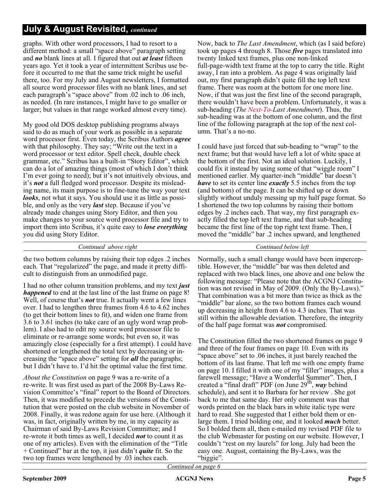graphs. With other word processors, I had to resort to a different method: a small "space above" paragraph setting and *no* blank lines at all. I figured that out *at least* fifteen years ago. Yet it took a year of intermittent Scribus use before it occurred to me that the same trick might be useful there, too. For my July and August newsletters, I formatted all source word processor files with no blank lines, and set each paragraph's "space above" from .02 inch to .06 inch, as needed. (In rare instances, I might have to go smaller or larger; but values in that range worked almost every time).

My good old DOS desktop publishing programs always said to do as much of your work as possible in a separate word processor first. Even today, the Scribus Authors *agree* with that philosophy. They say; "Write out the text in a word processor or text editor. Spell check, double check grammar, etc." Scribus has a built-in "Story Editor", which can do a lot of amazing things (most of which I don't think I'm ever going to need); but it's not intuitively obvious, and it's *not* a full fledged word processor. Despite its misleading name, its main purpose is to fine-tune the way your text *looks*, not what it says. You should use it as little as possible, and only as the very *last* step. Because if you've already made changes using Story Editor, and then you make changes to your source word processor file and try to import them into Scribus, it's quite easy to *lose everything* you did using Story Editor.

Now, back to *The Last Amendment*, which (as I said before) took up pages 4 through 8. Those *five* pages translated into twenty linked text frames, plus one non-linked full-page-width text frame at the top to carry the title. Right away, I ran into a problem. As page 4 was originally laid out, my first paragraph didn't quite fill the top left text frame. There was room at the bottom for one more line. Now, if that was just the first line of the second paragraph, there wouldn't have been a problem. Unfortunately, it was a sub-heading (*The Next-To-Last Amendment*). Thus, the sub-heading was at the bottom of one column, and the first line of the following paragraph at the top of the next column. That's a no-no.

I could have just forced that sub-heading to "wrap" to the next frame; but that would have left a lot of white space at the bottom of the first. Not an ideal solution. Luckily, I could fix it instead by using some of that "wiggle room" I mentioned earlier. My quarter-inch "middle" bar doesn't *have* to set its center line *exactly* 5.5 inches from the top (and bottom) of the page. It can be shifted up or down slightly without unduly messing up my half page format. So I shortened the two top columns by raising their bottom edges by .2 inches each. That way, my first paragraph exactly filled the top left text frame, and that sub-heading became the first line of the top right text frame. Then, I moved the "middle" bar .2 inches upward, and lengthened

| Continued above right                                                                                               | Continued below left |
|---------------------------------------------------------------------------------------------------------------------|----------------------|
| the two bottom columns by raising their top edges .2 inches Normally, such a small change would have been impercep- |                      |

each. That "regularized" the page, and made it pretty difficult to distinguish from an unmodified page.

I had no other column transition problems, and my text *just happened* to end at the last line of the last frame on page 8! Well, of course that's *not* true. It actually went a few lines over. I had to lengthen three frames from 4.6 to 4.62 inches (to get their bottom lines to fit), and widen one frame from 3.6 to 3.61 inches (to take care of an ugly word wrap problem). I also had to edit my source word processor file to eliminate or re-arrange some words; but even so, it was amazingly close (especially for a first attempt). I could have shortened or lengthened the total text by decreasing or increasing the "space above" setting for *all* the paragraphs; but I didn't have to. I'd hit the optimal value the first time.

*About the Constitution* on page 9 was a re-write of a re-write. It was first used as part of the 2008 By-Laws Revision Committee's "final" report to the Board of Directors. Then, it was modified to precede the versions of the Constitution that were posted on the club website in November of 2008. Finally, it was redone again for use here. (Although it was, in fact, originally written by me, in my capacity as Chairman of said By-Laws Revision Committee; and I re-wrote it both times as well, I decided *not* to count it as one of my articles). Even with the elimination of the "Title + Continued" bar at the top, it just didn't *quite* fit. So the two top frames were lengthened by .03 inches each.

Normally, such a small change would have been imperceptible. However, the "middle" bar was then deleted and replaced with two black lines, one above and one below the following message: "Please note that the ACGNJ Constitution was not revised in May of 2009. (Only the By-Laws)." That combination was a bit more than twice as thick as the "middle" bar alone, so the two bottom frames each wound up decreasing in height from 4.6 to 4.3 inches. That was still within the allowable deviation. Therefore, the integrity of the half page format was *not* compromised.

The Constitution filled the two shortened frames on page 9 and three of the four frames on page 10. Even with its "space above" set to .06 inches, it just barely reached the bottom of its last frame. That left me with one empty frame on page 10. I filled it with one of my "filler" images, plus a farewell message; "Have a Wonderful Summer". Then, I created a "final draft" PDF (on June 29<sup>th</sup>, way behind schedule), and sent it to Barbara for her review . She got back to me that same day. Her only comment was that words printed on the black bars in white italic type were hard to read. She suggested that I either bold them or enlarge them. I tried bolding one, and it looked *much* better. So I bolded them all, then e-mailed my revised PDF file to the club Webmaster for posting on our website. However, I couldn't "rest on my laurels" for long. July had been the easy one. August, containing the By-Laws, was the "biggie".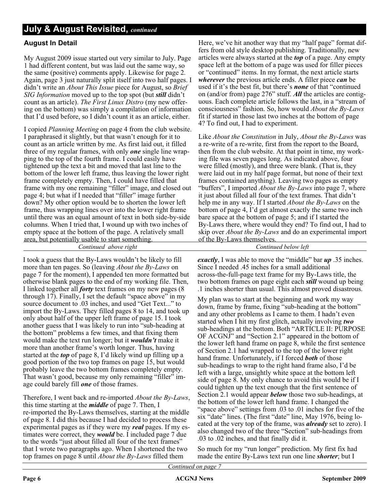#### **August In Detail**

My August 2009 issue started out very similar to July. Page 1 had different content, but was laid out the same way, so the same (positive) comments apply. Likewise for page 2. Again, page 3 just naturally split itself into two half pages. I didn't write an *About This Issue* piece for August, so *Brief SIG Information* moved up to the top spot (but *still* didn't count as an article). *The First Linux Distro* (my new offering on the bottom) was simply a compilation of information that I'd used before, so I didn't count it as an article, either.

I copied *Planning Meeting* on page 4 from the club website. I paraphrased it slightly, but that wasn't enough for it to count as an article written by me. As first laid out, it filled three of my regular frames, with only *one* single line wrapping to the top of the fourth frame. I could easily have tightened up the text a bit and moved that last line to the bottom of the lower left frame, thus leaving the lower right frame completely empty. Then, I could have filled that frame with my one remaining "filler" image, and closed out page 4; but what if I needed that "filler" image further down? My other option would be to shorten the lower left frame, thus wrapping lines over into the lower right frame until there was an equal amount of text in both side-by-side columns. When I tried that, I wound up with two inches of empty space at the bottom of the page. A relatively small area, but potentially usable to start something.

*Continued above right Continued below left*

I took a guess that the By-Laws wouldn't be likely to fill more than ten pages. So (leaving *About the By-Laws* on page 7 for the moment), I appended ten more formatted but otherwise blank pages to the end of my working file. Then, I linked together all *forty* text frames on my new pages (8 through 17). Finally, I set the default "space above" in my source document to .03 inches, and used "Get Text..." to import the By-Laws. They filled pages 8 to 14, and took up only about half of the upper left frame of page 15. I took another guess that I was likely to run into "sub-heading at the bottom" problems a few times, and that fixing them would make the text run longer; but it *wouldn't* make it more than another frame's worth longer. Thus, having started at the *top* of page 8, I'd likely wind up filling up a good portion of the two top frames on page 15, but would probably leave the two bottom frames completely empty. That wasn't good, because my only remaining "filler" image could barely fill *one* of those frames.

Therefore, I went back and re-imported *About the By-Laws*, this time starting at the *middle* of page 7. Then, I re-imported the By-Laws themselves, starting at the middle of page 8. I did this because I had decided to process these experimental pages as if they were my *real* pages. If my estimates were correct, they *would* be. I included page 7 due to the words "just about filled all four of the text frames" that I wrote two paragraphs ago. When I shortened the two top frames on page 8 until *About the By-Laws* filled them

Here, we've hit another way that my "half page" format differs from old style desktop publishing. Traditionally, new articles were always started at the *top* of a page. Any empty space left at the bottom of a page was used for filler pieces or "continued" items. In my format, the next article starts *wherever* the previous article ends. A filler piece *can* be used if it's the best fit, but there's *none* of that "continued on (and/or from) page 276" stuff. *All* the articles are contiguous. Each complete article follows the last, in a "stream of consciousness" fashion. So, how would *About the By-Laws* fit if started in those last two inches at the bottom of page 4? To find out, I had to experiment.

Like *About the Constitution* in July, *About the By-Laws* was a re-write of a re-write, first from the report to the Board, then from the club website. At that point in time, my working file was seven pages long. As indicated above, four were filled (mostly), and three were blank. (That is, they were laid out in my half page format, but none of their text frames contained anything). Leaving two pages as empty "buffers", I imported *About the By-Laws* into page 7, where it just about filled all four of the text frames. That didn't help me in any way. If I started *About the By-Laws* on the bottom of page 4, I'd get almost exactly the same two inch bare space at the bottom of page 5; and if I started the By-Laws there, where would they end? To find out, I had to skip over *About the By-Laws* and do an experimental import of the By-Laws themselves.

*exactly*, I was able to move the "middle" bar *up* .35 inches. Since I needed .45 inches for a small additional across-the-full-page text frame for my By-Laws title, the two bottom frames on page eight each *still* wound up being .1 inches shorter than usual. This almost proved disastrous.

My plan was to start at the beginning and work my way down, frame by frame, fixing "sub-heading at the bottom" and any other problems as I came to them. I hadn't even started when I hit my first glitch, actually involving *two* sub-headings at the bottom. Both "ARTICLE II: PURPOSE OF ACGNJ" and "Section 2.1" appeared in the bottom of the lower left hand frame on page 8, while the first sentence of Section 2.1 had wrapped to the top of the lower right hand frame. Unfortunately, if I forced *both* of those sub-headings to wrap to the right hand frame also, I'd be left with a large, unsightly white space at the bottom left side of page 8. My only chance to avoid this would be if I could tighten up the text enough that the first sentence of Section 2.1 would appear *below* those two sub-headings, at the bottom of the lower left hand frame. I changed the "space above" settings from .03 to .01 inches for five of the six "date" lines. (The first "date" line, May 1976, being located at the very top of the frame, was *already* set to zero). I also changed two of the three "Section" sub-headings from .03 to .02 inches, and that finally did it.

So much for my "run longer" prediction. My first fix had made the entire By-Laws text run one line *shorter*; but I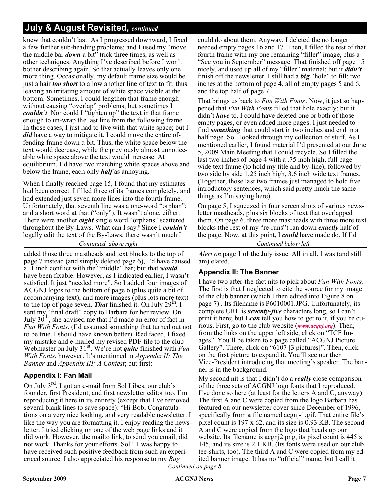knew that couldn't last. As I progressed downward, I fixed a few further sub-heading problems; and I used my "move the middle bar *down* a bit" trick three times, as well as other techniques. Anything I've described before I won't bother describing again. So that actually leaves only one more thing. Occasionally, my default frame size would be just a hair *too short* to allow another line of text to fit, thus leaving an irritating amount of white space visible at the bottom. Sometimes, I could lengthen that frame enough without causing "overlap" problems; but sometimes I *couldn't*. Nor could I "tighten up" the text in that frame enough to un-wrap the last line from the following frame. In those cases, I just had to live with that white space; but I *did* have a way to mitigate it. I could move the entire offending frame down a bit. Thus, the white space below the text would decrease, while the previously almost unnoticeable white space above the text would increase. At equilibrium, I'd have two matching white spaces above and below the frame, each only *half* as annoying.

When I finally reached page 15, I found that my estimates had been correct. I filled three of its frames completely, and had extended just seven more lines into the fourth frame. Unfortunately, that seventh line was a one-word "orphan"; and a short word at that ("only"). It wasn't alone, either. There were another *eight* single word "orphans" scattered throughout the By-Laws. What can I say? Since I *couldn't* legally edit the text of the By-Laws, there wasn't much I

#### *Continued above right Continued below left*

added those three mastheads and text blocks to the top of page 7 instead (and simply deleted page 6), I'd have caused a .1 inch conflict with the "middle" bar; but that *would* have been fixable. However, as I indicated earlier, I wasn't satisfied. It just "needed more". So I added four images of ACGNJ logos to the bottom of page 6 (plus quite a bit of accompanying text), and more images (plus lots more text) to the top of page seven. **That** finished it. On July  $29<sup>th</sup>$ , I sent my "final draft" copy to Barbara for her review. On<br>July 30<sup>th</sup>, she advised me that I'd made an error of fact in *Fun With Fonts*. (I'd assumed something that turned out not to be true. I should have known better). Red faced, I fixed my mistake and e-mailed my revised PDF file to the club Webmaster on July 31<sup>st</sup>. We're not *quite* finished with *Fun With Fonts*, however. It's mentioned in *Appendix II: The Banner* and *Appendix III: A Contest*; but first:

#### **Appendix I: Fan Mail**

On July 3rd, I got an e-mail from Sol Libes, our club's founder, first President, and first newsletter editor too. I'm reproducing it here in its entirety (except that I've removed several blank lines to save space): "Hi Bob, Congratulations on a very nice looking, and very readable newsletter. I like the way you are formatting it. I enjoy reading the newsletter. I tried clicking on one of the web page links and it did work. However, the mailto link, to send you email, did not work. Thanks for your efforts. Sol". I was happy to have received such positive feedback from such an experienced source. I also appreciated his response to my *Bug*

could do about them. Anyway, I deleted the no longer needed empty pages 16 and 17. Then, I filled the rest of that fourth frame with my one remaining "filler" image, plus a "See you in September" message. That finished off page 15 nicely, and used up all of my "filler" material; but it *didn't* finish off the newsletter. I still had a *big* "hole" to fill: two inches at the bottom of page 4, all of empty pages 5 and 6, and the top half of page 7.

That brings us back to *Fun With Fonts*. Now, it just so happened that *Fun With Fonts* filled that hole exactly; but it didn't *have* to. I could have deleted one or both of those empty pages, or even added more pages. I just needed to find *something* that could start in two inches and end in a half page. So I looked through my collection of stuff. As I mentioned earlier, I found material I'd presented at our June 5, 2009 Main Meeting that I could recycle. So I filled the last two inches of page 4 with a .75 inch high, full page wide text frame (to hold my title and by-line), followed by two side by side 1.25 inch high, 3.6 inch wide text frames. (Together, those last two frames just managed to hold five introductory sentences, which said pretty much the same things as I'm saying here).

On page 5, I squeezed in four screen shots of various newsletter mastheads, plus six blocks of text that overlapped them. On page 6, three more mastheads with three more text blocks (the rest of my "re-runs") ran down *exactly* half of the page. Now, at this point, I *could* have made do. If I'd

*Alert on* page 1 of the July issue. All in all, I was (and still am) elated.

#### **Appendix II: The Banner**

I have two after-the-fact nits to pick about *Fun With Fonts*. The first is that I neglected to cite the source for my image of the club banner (which I then edited into Figure 8 on page 7) . Its filename is P6010001.JPG. Unfortunately, its complete URL is *seventy-five* characters long, so I can't print it here; but I *can* tell you how to get to it, if you're curious. First, go to the club website (*[www.acgnj.org](http://www.acgnj.org)*). Then, from the links on the upper left side, click on "TCF Images". You'll be taken to a page called "ACGNJ Picture Gallery". There, click on "6107 [3 pictures]". Then, click on the first picture to expand it. You'll see our then Vice-President introducing that meeting's speaker. The banner is in the background.

My second nit is that I didn't do a *really* close comparison of the three sets of ACGNJ logo fonts that I reproduced. I've done so here (at least for the letters A and C, anyway). The first A and C were copied from the logo Barbara has featured on our newsletter cover since December of 1996, specifically from a file named acgnj-1.gif. That entire file's pixel count is 197 x 62, and its size is 0.93 KB. The second A and C were copied from the logo that heads up our website. Its filename is acgnj2.png, its pixel count is 445 x 145, and its size is 2.1 KB. (Its fonts were used on our club tee-shirts, too). The third A and C were copied from my edited banner image. It has no "official" name, but I call it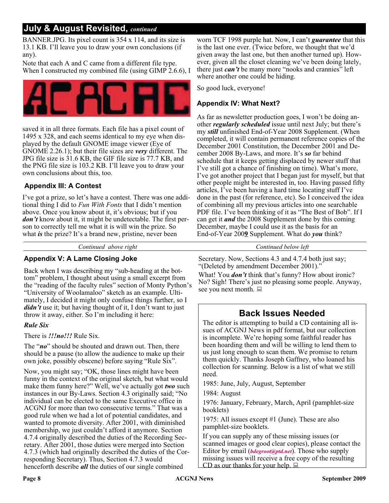BANNER.JPG. Its pixel count is 354 x 114, and its size is 13.1 KB. I'll leave you to draw your own conclusions (if any).

Note that each A and C came from a different file type. When I constructed my combined file (using GIMP 2.6.6), I



saved it in all three formats. Each file has a pixel count of 1495 x 328, and each seems identical to my eye when displayed by the default GNOME image viewer (Eye of GNOME 2.26.1); but their file sizes are *very* different. The JPG file size is 31.6 KB, the GIF file size is 77.7 KB, and the PNG file size is 103.2 KB. I'll leave you to draw your own conclusions about this, too.

#### **Appendix III: A Contest**

I've got a prize, so let's have a contest. There was one additional thing I did to *Fun With Fonts* that I didn't mention above. Once you know about it, it's obvious; but if you *don't* know about it, it might be undetectable. The first person to correctly tell me what it is will win the prize. So what *is* the prize? It's a brand new, pristine, never been

*Continued above right Continued below left*

#### **Appendix V: A Lame Closing Joke**

Back when I was describing my "sub-heading at the bottom" problem, I thought about using a small excerpt from the "reading of the faculty rules" section of Monty Python's "University of Woolamaloo" sketch as an example. Ultimately, I decided it might only confuse things further, so I *didn't* use it; but having thought of it, I don't want to just throw it away, either. So I'm including it here:

#### *Rule Six*

There is *!!!no!!!* Rule Six.

The "*no*" should be shouted and drawn out. Then, there should be a pause (to allow the audience to make up their own joke, possibly obscene) before saying "Rule Six".

Now, you might say; "OK, those lines might have been funny in the context of the original sketch, but what would make them funny here?" Well, we've actually got *two* such instances in our By-Laws. Section 4.3 originally said; "No individual can be elected to the same Executive office in ACGNJ for more than two consecutive terms." That was a good rule when we had a lot of potential candidates, and wanted to promote diversity. After 2001, with diminished membership, we just couldn't afford it anymore. Section 4.7.4 originally described the duties of the Recording Secretary. After 2001, those duties were merged into Section 4.7.3 (which had originally described the duties of the Corresponding Secretary). Thus, Section 4.7.3 would henceforth describe *all* the duties of our single combined

worn TCF 1998 purple hat. Now, I can't *guarantee* that this is the last one ever. (Twice before, we thought that we'd given away the last one, but then another turned up). However, given all the closet cleaning we've been doing lately, there just *can't* be many more "nooks and crannies" left where another one could be hiding.

So good luck, everyone!

#### **Appendix IV: What Next?**

As far as newsletter production goes, I won't be doing another *regularly scheduled* issue until next July; but there's my *still* unfinished End-of-Year 2008 Supplement. (When completed, it will contain permanent reference copies of the December 2001 Constitution, the December 2001 and December 2008 By-Laws, and more. It's *so* far behind schedule that it keeps getting displaced by newer stuff that I've still got a chance of finishing on time). What's more, I've got another project that I began just for myself, but that other people might be interested in, too. Having passed fifty articles, I've been having a hard time locating stuff I've done in the past (for reference, etc). So I conceived the idea of combining all my previous articles into one searchable PDF file. I've been thinking of it as "The Best of Bob". If I can get it *and* the 2008 Supplement done by this coming December, maybe I could use it as the basis for an End-of-Year 200**9** Supplement. What do *you* think?

Secretary. Now, Sections 4.3 and 4.7.4 both just say; "(Deleted by amendment December 2001)."

What! You *don't* think that's funny? How about ironic? No? Sigh! There's just no pleasing some people. Anyway, see you next month.

## **Back Issues Needed**

The editor is attempting to build a CD containing all issues of ACGNJ News in pdf format, but our collection is incomplete. We're hoping some faithful reader has been hoarding them and will be willing to lend them to us just long enough to scan them. We promise to return them quickly. Thanks Joseph Gaffney, who loaned his collection for scanning. Below is a list of what we still need.

1985: June, July, August, September

1984: August

1976: January, February, March, April (pamphlet-size booklets)

1975: All issues except #1 (June). These are also pamphlet-size booklets.

If you can supply any of these missing issues (or scanned images or good clear copies), please contact the Editor by email (*[bdegroot@ptd.net](mailto:bdegroot@ptd.net)*). Those who supply missing issues will receive a free copy of the resulting CD as our thanks for your help.  $\Box$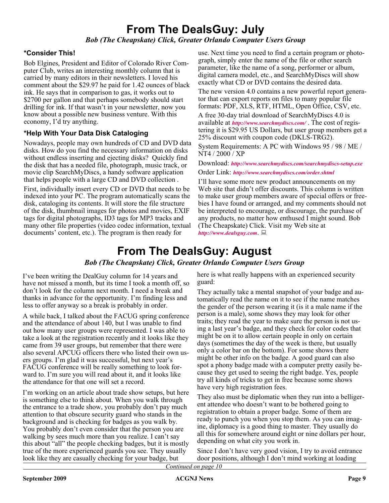# **From The DealsGuy: July**

*Bob (The Cheapskate) Click, Greater Orlando Computer Users Group*

#### **\*Consider This!**

Bob Elgines, President and Editor of Colorado River Computer Club, writes an interesting monthly column that is carried by many editors in their newsletters. I loved his comment about the \$29.97 he paid for 1.42 ounces of black ink. He says that in comparison to gas, it works out to \$2700 per gallon and that perhaps somebody should start drilling for ink. If that wasn't in your newsletter, now you know about a possible new business venture. With this economy, I'd try anything.

#### **\*Help With Your Data Disk Cataloging**

Nowadays, people may own hundreds of CD and DVD data disks. How do you find the necessary information on disks without endless inserting and ejecting disks? Quickly find the disk that has a needed file, photograph, music track, or movie clip SearchMyDiscs, a handy software application that helps people with a large CD and DVD collection .

First, individually insert every CD or DVD that needs to be indexed into your PC. The program automatically scans the disk, cataloging its contents. It will store the file structure of the disk, thumbnail images for photos and movies, EXIF tags for digital photographs, ID3 tags for MP3 tracks and many other file properties (video codec information, textual documents' content, etc.). The program is then ready for

use. Next time you need to find a certain program or photograph, simply enter the name of the file or other search parameter, like the name of a song, performer or album, digital camera model, etc., and SearchMyDiscs will show exactly what CD or DVD contains the desired data.

The new version 4.0 contains a new powerful report generator that can export reports on files to many popular file formats: PDF, XLS, RTF, HTML, Open Office, CSV, etc.

A free 30-day trial download of SearchMyDiscs 4.0 is available at *<http://www.searchmydiscs.com/>* . The cost of registering it is \$29.95 US Dollars, but user group members get a 25% discount with coupon code (DKLS-TRG2).

System Requirements: A PC with Windows 95 / 98 / ME / NT4 / 2000 / XP

Download: *<http://www.searchmydiscs.com/searchmydiscs-setup.exe>*

Order Link: *<http://www.searchmydiscs.com/order.shtml>*

I'll have some more new product announcements on my Web site that didn't offer discounts. This column is written to make user group members aware of special offers or freebies I have found or arranged, and my comments should not be interpreted to encourage, or discourage, the purchase of any products, no matter how enthused I might sound. Bob (The Cheapskate) Click. Visit my Web site at *<http://www.dealsguy.com>*.

# **From The DealsGuy: August** *Bob (The Cheapskate) Click, Greater Orlando Computer Users Group*

I've been writing the DealGuy column for 14 years and have not missed a month, but its time I took a month off, so don't look for the column next month. I need a break and thanks in advance for the opportunity. I'm finding less and less to offer anyway so a break is probably in order.

A while back, I talked about the FACUG spring conference and the attendance of about 140, but I was unable to find out how many user groups were represented. I was able to take a look at the registration recently and it looks like they came from 39 user groups, but remember that there were also several APCUG officers there who listed their own users groups. I'm glad it was successful, but next year's FACUG conference will be really something to look forward to. I'm sure you will read about it, and it looks like the attendance for that one will set a record.

I'm working on an article about trade show setups, but here is something else to think about. When you walk through the entrance to a trade show, you probably don't pay much attention to that obscure security guard who stands in the background and is checking for badges as you walk by. You probably don't even consider that the person you are walking by sees much more than you realize. I can't say this about "all" the people checking badges, but it is mostly true of the more experienced guards you see. They usually look like they are casually checking for your badge, but

here is what really happens with an experienced security guard:

They actually take a mental snapshot of your badge and automatically read the name on it to see if the name matches the gender of the person wearing it (is it a male name if the person is a male), some shows they may look for other traits; they read the year to make sure the person is not using a last year's badge, and they check for color codes that might be on it to allow certain people in only on certain days (sometimes the day of the week is there, but usually only a color bar on the bottom). For some shows there might be other info on the badge. A good guard can also spot a phony badge made with a computer pretty easily because they get used to seeing the right badge. Yes, people try all kinds of tricks to get in free because some shows have very high registration fees.

They also must be diplomatic when they run into a belligerent attendee who doesn't want to be bothered going to registration to obtain a proper badge. Some of them are ready to punch you when you stop them. As you can imagine, diplomacy is a good thing to master. They usually do all this for somewhere around eight or nine dollars per hour, depending on what city you work in.

Since I don't have very good vision, I try to avoid entrance door positions, although I don't mind working at loading *Continued on page 10*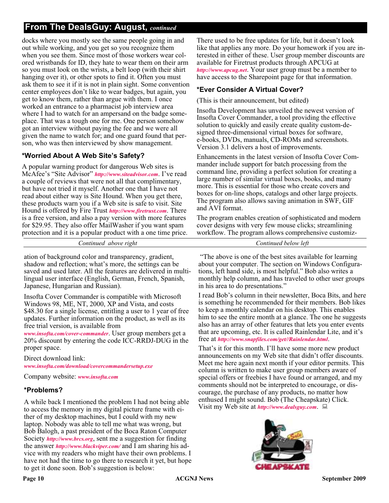# **From The DealsGuy: August,** *continued*

docks where you mostly see the same people going in and out while working, and you get so you recognize them when you see them. Since most of those workers wear colored wristbands for ID, they hate to wear them on their arm so you must look on the wrists, a belt loop (with their shirt hanging over it), or other spots to find it. Often you must ask them to see it if it is not in plain sight. Some convention center employees don't like to wear badges, but again, you get to know them, rather than argue with them. I once worked an entrance to a pharmacist job interview area where I had to watch for an ampersand on the badge someplace. That was a tough one for me. One person somehow got an interview without paying the fee and we were all given the name to watch for; and one guard found that person, who was then interviewed by show management.

#### **\*Worried About A Web Site's Safety?**

A popular warning product for dangerous Web sites is McAfee's "Site Advisor" *<http://www.siteadvisor.com>*. I've read a couple of reviews that were not all that complimentary, but have not tried it myself. Another one that I have not read about either way is Site Hound. When you get there, these products warn you if a Web site is safe to visit. Site Hound is offered by Fire Trust *<http://www.firetrust.com>*. There is a free version, and also a pay version with more features for \$29.95. They also offer MailWasher if you want spam protection and it is a popular product with a one time price. There used to be free updates for life, but it doesn't look like that applies any more. Do your homework if you are interested in either of these. User group member discounts are available for Firetrust products through APCUG at *<http://www.apcug.net>*. Your user group must be a member to have access to the Sharepoint page for that information.

## **\*Ever Consider A Virtual Cover?**

(This is their announcement, but edited)

Insofta Development has unveiled the newest version of Insofta Cover Commander, a tool providing the effective solution to quickly and easily create quality custom-designed three-dimensional virtual boxes for software, e-books, DVDs, manuals, CD-ROMs and screenshots. Version 3.1 delivers a host of improvements.

Enhancements in the latest version of Insofta Cover Commander include support for batch processing from the command line, providing a perfect solution for creating a large number of similar virtual boxes, books, and many more. This is essential for those who create covers and boxes for on-line shops, catalogs and other large projects. The program also allows saving animation in SWF, GIF and AVI format.

The program enables creation of sophisticated and modern cover designs with very few mouse clicks; streamlining workflow. The program allows comprehensive customiz-

*Continued above right Continued below left*

ation of background color and transparency, gradient, shadow and reflection; what's more, the settings can be saved and used later. All the features are delivered in multilingual user interface (English, German, French, Spanish, Japanese, Hungarian and Russian).

Insofta Cover Commander is compatible with Microsoft Windows 98, ME, NT, 2000, XP and Vista, and costs \$48.30 for a single license, entitling a user to 1 year of free updates. Further information on the product, as well as its free trial version, is available from

*[www.insofta.com/cover-commander](http://www.insofta.com/cover-commander)*. User group members get a 20% discount by entering the code ICC-RRDJ-DUG in the proper space.

Direct download link:

*[www.insofta.com/download/covercommandersetup.exe](http://www.insofta.com/download/covercommandersetup.exe)*

Company website: *[www.insofta.com](http://www.insofta.com)*

#### **\*Problems?**

A while back I mentioned the problem I had not being able to access the memory in my digital picture frame with either of my desktop machines, but I could with my new laptop. Nobody was able to tell me what was wrong, but Bob Balogh, a past president of the Boca Raton Computer Society *<http://www.brcs.org>*, sent me a suggestion for finding the answer *<http://www.blackviper.com/>* and I am sharing his advice with my readers who might have their own problems. I have not had the time to go there to research it yet, but hope to get it done soon. Bob's suggestion is below:

"The above is one of the best sites available for learning about your computer. The section on Windows Configurations, left hand side, is most helpful." Bob also writes a monthly help column, and has traveled to other user groups in his area to do presentations."

I read Bob's column in their newsletter, Boca Bits, and here is something he recommended for their members. Bob likes to keep a monthly calendar on his desktop. This enables him to see the entire month at a glance. The one he suggests also has an array of other features that lets you enter events that are upcoming, etc. It is called Rainlendar Lite, and it's free at *<http://www.snapfiles.com/get//Rainlendar.html>*.

That's it for this month. I'll have some more new product announcements on my Web site that didn't offer discounts. Meet me here again next month if your editor permits. This column is written to make user group members aware of special offers or freebies I have found or arranged, and my comments should not be interpreted to encourage, or discourage, the purchase of any products, no matter how enthused I might sound. Bob (The Cheapskate) Click. Visit my Web site at *<http://www.dealsguy.com>*.

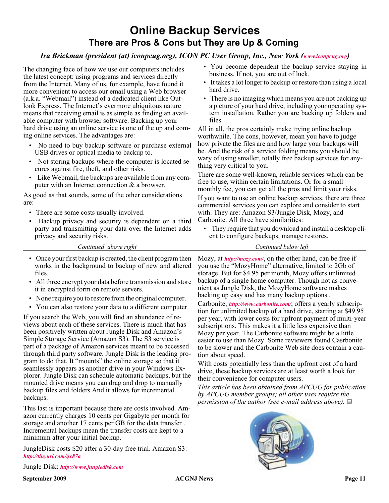# **Online Backup Services There are Pros & Cons but They are Up & Coming**

#### *Ira Brickman (president (at) iconpcug.org), ICON PC User Group, Inc., New York ([www.iconpcug.org\)](http://www.iconpcug.org)*

The changing face of how we use our computers includes the latest concept: using programs and services directly from the Internet. Many of us, for example, have found it more convenient to access our email using a Web browser (a.k.a. "Webmail") instead of a dedicated client like Outlook Express. The Internet's evermore ubiquitous nature means that receiving email is as simple as finding an available computer with browser software. Backing up your hard drive using an online service is one of the up and coming online services. The advantages are:

- No need to buy backup software or purchase external USB drives or optical media to backup to.
- Not storing backups where the computer is located secures against fire, theft, and other risks.
- Like Webmail, the backups are available from any computer with an Internet connection & a browser.

As good as that sounds, some of the other considerations are:

- There are some costs usually involved.
- Backup privacy and security is dependent on a third party and transmitting your data over the Internet adds privacy and security risks.
- You become dependent the backup service staying in business. If not, you are out of luck.
- It takes a lot longer to backup or restore than using a local hard drive.
- There is no imaging which means you are not backing up a picture of your hard drive, including your operating system installation. Rather you are backing up folders and files.

All in all, the pros certainly make trying online backup worthwhile. The cons, however, mean you have to judge how private the files are and how large your backups will be. And the risk of a service folding means you should be wary of using smaller, totally free backup services for anything very critical to you.

There are some well-known, reliable services which can be free to use, within certain limitations. Or for a small monthly fee, you can get all the pros and limit your risks. If you want to use an online backup services, there are three commercial services you can explore and consider to start with. They are: Amazon S3/Jungle Disk, Mozy, and Carbonite. All three have similarities:

• They require that you download and install a desktop client to configure backups, manage restores.

|                       | Continued below left |
|-----------------------|----------------------|
| Continued above right |                      |

- Once your first backup is created, the client program then works in the background to backup of new and altered files.
- All three encrypt your data before transmission and store it in encrypted form on remote servers.
- None require you to restore from the original computer.
- You can also restore your data to a different computer.

If you search the Web, you will find an abundance of reviews about each of these services. There is much that has been positively written about Jungle Disk and Amazon's Simple Storage Service (Amazon S3). The S3 service is part of a package of Amazon services meant to be accessed through third party software. Jungle Disk is the leading program to do that. It "mounts" the online storage so that it seamlessly appears as another drive in your Windows Explorer. Jungle Disk can schedule automatic backups, but the mounted drive means you can drag and drop to manually backup files and folders And it allows for incremental backups.

This last is important because there are costs involved. Amazon currently charges 10 cents per Gigabyte per month for storage and another 17 cents per GB for the data transfer . Incremental backups mean the transfer costs are kept to a minimum after your initial backup.

JungleDisk costs \$20 after a 30-day free trial. Amazon S3: *<http://tinyurl.com/qx87a>*

Jungle Disk: *<http://www.jungledisk.com>*

**September 2009 CONS Page 11 Page 11 Page 11 Page 11 Page 11** 

Mozy, at *<http://mozy.com/>*, on the other hand, can be free if you use the "MozyHome" alternative, limited to 2Gb of storage. But for \$4.95 per month, Mozy offers unlimited backup of a single home computer. Though not as convenient as Jungle Disk, the MozyHome software makes backing up easy and has many backup options..

Carbonite, *<http://www.carbonite.com/>*, offers a yearly subscription for unlimited backup of a hard drive, starting at \$49.95 per year, with lower costs for upfront payment of multi-year subscriptions. This makes it a little less expensive than Mozy per year. The Carbonite software might be a little easier to use than Mozy. Some reviewers found Casrbonite to be slower and the Carbonite Web site does contain a caution about speed.

With costs potentially less than the upfront cost of a hard drive, these backup services are at least worth a look for their convenience for computer users.

*This article has been obtained from APCUG for publication by APCUG member groups; all other uses require the permission of the author (see e-mail address above).*

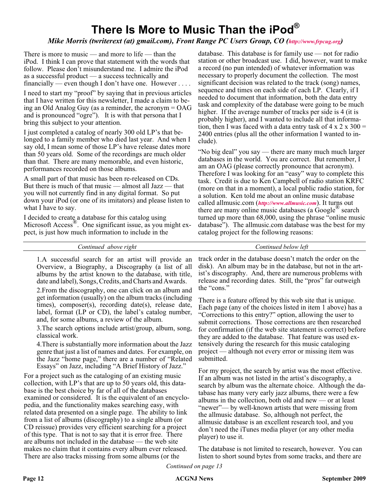# **There Is More to Music Than the iPod®**

#### *Mike Morris (twriterext (at) gmail.com), Front Range PC Users Group, CO (<http://www.frpcug.org>)*

There is more to music — and more to life — than the iPod. I think I can prove that statement with the words that follow. Please don't misunderstand me. I admire the iPod as a successful product — a success technically and financially — even though I don't have one. However....

I need to start my "proof" by saying that in previous articles that I have written for this newsletter, I made a claim to being an Old Analog Guy (as a reminder, the acronym = OAG and is pronounced "ogre"). It is with that persona that I bring this subject to your attention.

I just completed a catalog of nearly 300 old LP's that belonged to a family member who died last year. And when I say old, I mean some of those LP's have release dates more than 50 years old. Some of the recordings are much older than that. There are many memorable, and even historic, performances recorded on those albums.

A small part of that music has been re-released on CDs. But there is much of that music — almost all Jazz — that you will not currently find in any digital format. So put down your iPod (or one of its imitators) and please listen to what I have to say.

I decided to create a database for this catalog using Microsoft Access<sup>®</sup>. One significant issue, as you might expect, is just how much information to include in the

database. This database is for family use — not for radio station or other broadcast use. I did, however, want to make a record (no pun intended) of whatever information was necessary to properly document the collection. The most significant decision was related to the track (song) names, sequence and times on each side of each LP. Clearly, if I needed to document that information, both the data entry task and complexity of the database were going to be much higher. If the average number of tracks per side is 4 (it is probably higher), and I wanted to include all that information, then I was faced with a data entry task of  $4 \times 2 \times 300 =$ 2400 entries (plus all the other information I wanted to include).

"No big deal" you say — there are many much much larger databases in the world. You are correct. But remember, I am an OAG (please correctly pronounce that acronym). Therefore I was looking for an "easy" way to complete this task. Credit is due to Ken Campbell of radio station KRFC (more on that in a moment), a local public radio station, for a solution. Ken told me about an online music database called allmusic.com (*<http://www.allmusic.com>*). It turns out there are many online music databases (a Google<sup>®</sup> search turned up more than 68,000, using the phrase "online music database"). The allmusic.com database was the best for my catalog project for the following reasons:

*Continued above right Continued below left*

1.A successful search for an artist will provide an Overview, a Biography, a Discography (a list of all albums by the artist known to the database, with title, date and label), Songs, Credits, and Charts and Awards.

2.From the discography, one can click on an album and get information (usually) on the album tracks (including times), composer(s), recording date(s), release date, label, format (LP or CD), the label's catalog number, and, for some albums, a review of the album.

3.The search options include artist/group, album, song, classical work.

4.There is substantially more information about the Jazz genre that just a list of names and dates. For example, on the Jazz "home page," there are a number of "Related Essays" on Jazz, including "A Brief History of Jazz."

For a project such as the cataloging of an existing music collection, with LP's that are up to 50 years old, this database is the best choice by far of all of the databases examined or considered. It is the equivalent of an encyclopedia, and the functionality makes searching easy, with related data presented on a single page. The ability to link from a list of albums (discography) to a single album (or CD reissue) provides very efficient searching for a project of this type. That is not to say that it is error free. There are albums not included in the database — the web site makes no claim that it contains every album ever released. There are also tracks missing from some albums (or the

track order in the database doesn't match the order on the disk). An album may be in the database, but not in the artist's discography. And, there are numerous problems with release and recording dates. Still, the "pros" far outweigh the "cons."

There is a feature offered by this web site that is unique. Each page (any of the choices listed in item 1 above) has a "Corrections to this entry?" option, allowing the user to submit corrections. Those corrections are then researched for confirmation (if the web site statement is correct) before they are added to the database. That feature was used extensively during the research for this music cataloging project — although not every error or missing item was submitted.

For my project, the search by artist was the most effective. If an album was not listed in the artist's discography, a search by album was the alternate choice. Although the database has many very early jazz albums, there were a few albums in the collection, both old and new — or at least "newer"— by well-known artists that were missing from the allmusic database. So, although not perfect, the allmusic database is an excellent research tool, and you don't need the iTunes media player (or any other media player) to use it.

The database is not limited to research, however. You can listen to short sound bytes from some tracks, and there are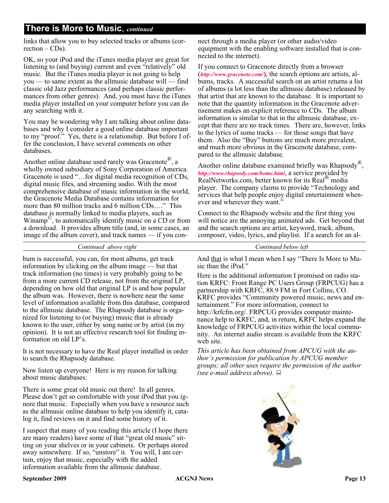## **There is More to Music**, *continued*

links that allow you to buy selected tracks or albums (cor $rection - CDs$ ).

OK, so your iPod and the iTunes media player are great for listening to (and buying) current and even "relatively" old music. But the iTunes media player is not going to help you — to same extent as the allmusic database will — find classic old Jazz performances (and perhaps classic performances from other genres). And, you must have the iTunes media player installed on your computer before you can do any searching with it.

You may be wondering why I am talking about online databases and why I consider a good online database important to my "proof." Yes, there is a relationship. But before I offer the conclusion, I have several comments on other databases.

Another online database used rarely was Gracenote<sup>®</sup>, a wholly owned subsidiary of Sony Corporation of America. Gracenote is used "…for digital media recognition of CDs, digital music files, and streaming audio. With the most comprehensive database of music information in the world, the Gracenote Media Database contains information for more than 80 million tracks and 6 million CDs…." This database is normally linked to media players, such as Winamp $\mathcal{O}$ , to automatically identify music on a CD or from a download. It provides album title (and, in some cases, an image of the album cover), and track names — if you connect through a media player (or other audio/video equipment with the enabling software installed that is connected to the internet).

If you connect to Gracenote directly from a browser (*<http://www.gracenote.com/>*), the search options are artists, albums, tracks. A successful search on an artist returns a list of albums (a lot less than the allmusic database) released by that artist that are known to the database. It is important to note that the quantity information in the Gracenote advertisement makes an explicit reference to CDs. The album information is similar to that in the allmusic database, except that there are no track times. There are, however, links to the lyrics of some tracks — for those songs that have them. Also the "Buy" buttons are much more prevalent, and much more obvious in the Gracenote database, compared to the allmusic database.

Another online database examined briefly was Rhapsody<sup>®</sup>, *<http://www.rhapsody.com/home.html>*, a service provided by RealNetworks.com, better known for its Real® media player. The company claims to provide "Technology and services that help people enjoy digital entertainment whenever and wherever they want."

Connect to the Rhapsody website and the first thing you will notice are the annoying animated ads. Get beyond that and the search options are artist, keyword, track, album, composer, video, lyrics, and playlist. If a search for an al-

#### *Continued above right Continued below left*

bum is successful, you can, for most albums, get track information by clicking on the album image — but that track information (no times) is very probably going to be from a more current CD release, not from the original LP, depending on how old that original LP is and how popular the album was. However, there is nowhere near the same level of information available from this database, compared to the allmusic database. The Rhapsody database is organized for listening to (or buying) music that is already known to the user, either by song name or by artist (in my opinion). It is not an effective research tool for finding information on old LP's.

It is not necessary to have the Real player installed in order to search the Rhapsody database.

Now listen up everyone! Here is my reason for talking about music databases:

There is some great old music out there! In all genres. Please don't get so comfortable with your iPod that you ignore that music. Especially when you have a resource such as the allmusic online database to help you identify it, catalog it, find reviews on it and find some history of it.

I suspect that many of you reading this article (I hope there are many readers) have some of that "great old music" sitting on your shelves or in your cabinets. Or perhaps stored away somewhere. If so, "unstore" it. You will, I am certain, enjoy that music, especially with the added information available from the allmusic database.

And that is what I mean when I say "There Is More to Music than the iPod."

Here is the additional information I promised on radio station KRFC: Front Range PC Users Group (FRPCUG) has a partnership with KRFC, 88.9 FM in Fort Collins, CO. KRFC provides "Community powered music, news and entertainment." For more information, connect to http://krfcfm.org/. FRPCUG provides computer maintenance help to KRFC, and, in return, KRFC helps expand the knowledge of FRPCUG activities within the local community. An internet audio stream is available from the KRFC web site.

*This article has been obtained from APCUG with the author's permission for publication by APCUG member groups; all other uses require the permission of the author (see e-mail address above).*

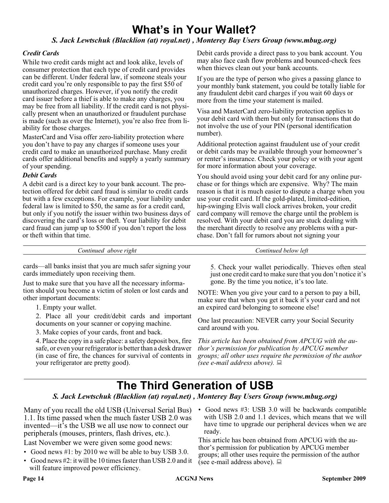# **What's in Your Wallet?**

#### *S. Jack Lewtschuk (Blacklion (at) royal.net) , Monterey Bay Users Group (www.mbug.org)*

#### *Credit Cards*

While two credit cards might act and look alike, levels of consumer protection that each type of credit card provides can be different. Under federal law, if someone steals your credit card you're only responsible to pay the first \$50 of unauthorized charges. However, if you notify the credit card issuer before a thief is able to make any charges, you may be free from all liability. If the credit card is not physically present when an unauthorized or fraudulent purchase is made (such as over the Internet), you're also free from liability for those charges.

MasterCard and Visa offer zero-liability protection where you don't have to pay any charges if someone uses your credit card to make an unauthorized purchase. Many credit cards offer additional benefits and supply a yearly summary of your spending.

#### *Debit Cards*

A debit card is a direct key to your bank account. The protection offered for debit card fraud is similar to credit cards but with a few exceptions. For example, your liability under federal law is limited to \$50, the same as for a credit card, but only if you notify the issuer within two business days of discovering the card's loss or theft. Your liability for debit card fraud can jump up to \$500 if you don't report the loss or theft within that time.

Debit cards provide a direct pass to you bank account. You may also face cash flow problems and bounced-check fees when thieves clean out your bank accounts.

If you are the type of person who gives a passing glance to your monthly bank statement, you could be totally liable for any fraudulent debit card charges if you wait 60 days or more from the time your statement is mailed.

Visa and MasterCard zero-liability protection applies to your debit card with them but only for transactions that do not involve the use of your PIN (personal identification number).

Additional protection against fraudulent use of your credit or debit cards may be available through your homeowner's or renter's insurance. Check your policy or with your agent for more information about your coverage.

You should avoid using your debit card for any online purchase or for things which are expensive. Why? The main reason is that it is much easier to dispute a charge when you use your credit card. If the gold-plated, limited-edition, hip-swinging Elvis wall clock arrives broken, your credit card company will remove the charge until the problem is resolved. With your debit card you are stuck dealing with the merchant directly to resolve any problems with a purchase. Don't fall for rumors about not signing your

*Continued above right Continued below left*

cards—all banks insist that you are much safer signing your cards immediately upon receiving them.

Just to make sure that you have all the necessary information should you become a victim of stolen or lost cards and other important documents:

- 1. Empty your wallet.
- 2. Place all your credit/debit cards and important documents on your scanner or copying machine.
- 3. Make copies of your cards, front and back.

4. Place the copy in a safe place: a safety deposit box, fire safe, or even your refrigerator is better than a desk drawer (in case of fire, the chances for survival of contents in your refrigerator are pretty good).

5. Check your wallet periodically. Thieves often steal just one credit card to make sure that you don't notice it's gone. By the time you notice, it's too late.

NOTE: When you give your card to a person to pay a bill, make sure that when you get it back it's your card and not an expired card belonging to someone else!

One last precaution: NEVER carry your Social Security card around with you.

*This article has been obtained from APCUG with the author's permission for publication by APCUG member groups; all other uses require the permission of the author (see e-mail address above).*

# **The Third Generation of USB**

#### *S. Jack Lewtschuk (Blacklion (at) royal.net) , Monterey Bay Users Group (www.mbug.org)*

Many of you recall the old USB (Universal Serial Bus) 1.1. Its time passed when the much faster USB 2.0 was invented—it's the USB we all use now to connect our peripherals (mouses, printers, flash drives, etc.).

Last November we were given some good news:

- Good news #1: by 2010 we will be able to buy USB 3.0.
- Good news #2: it will be 10 times faster than USB 2.0 and it will feature improved power efficiency.
- Good news #3: USB 3.0 will be backwards compatible with USB 2.0 and 1.1 devices, which means that we will have time to upgrade our peripheral devices when we are ready.

This article has been obtained from APCUG with the author's permission for publication by APCUG member groups; all other uses require the permission of the author (see e-mail address above).  $\Box$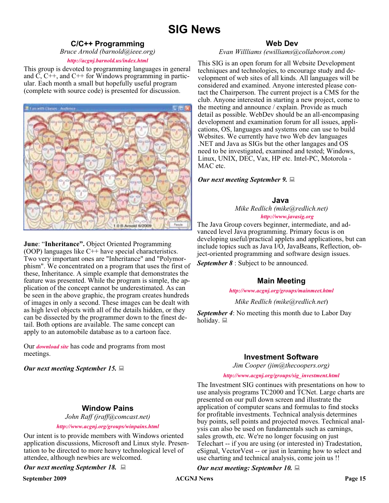# **SIG News**

#### **C/C++ Programming**

*Bruce Arnold (barnold@ieee.org)*

#### *<http://acgnj.barnold.us/index.html>*

This group is devoted to programming languages in general and  $\tilde{C}$ ,  $\tilde{C}$ ++, and  $\tilde{C}$ ++ for Windows programming in particular. Each month a small but hopefully useful program (complete with source code) is presented for discussion.



**June**: "**Inheritance".** Object Oriented Programming

(OOP) languages like  $C++$  have special characteristics. Two very important ones are "Inheritance" and "Polymorphism". We concentrated on a program that uses the first of these, Inheritance. A simple example that demonstrates the feature was presented. While the program is simple, the application of the concept cannot be underestimated. As can be seen in the above graphic, the program creates hundreds of images in only a second. These images can be dealt with as high level objects with all of the details hidden, or they can be dissected by the programmer down to the finest detail. Both options are available. The same concept can apply to an automobile database as to a cartoon face.

**Window Pains** *John Raff (jraff@comcast.net) <http://www.acgnj.org/groups/winpains.html>* Our intent is to provide members with Windows oriented application discussions, Microsoft and Linux style. Presentation to be directed to more heavy technological level of

Our *[download site](http://acgnj.barnold.us/Source/Index.htm)* has code and programs from most meetings.

*Our next meeting September 15.*

#### **Web Dev**

#### *Evan Willliams (ewilliams@collaboron.com)*

This SIG is an open forum for all Website Development techniques and technologies, to encourage study and development of web sites of all kinds. All languages will be considered and examined. Anyone interested please contact the Chairperson. The current project is a CMS for the club. Anyone interested in starting a new project, come to the meeting and announce / explain. Provide as much detail as possible. WebDev should be an all-encompasing development and examination forum for all issues, applications, OS, languages and systems one can use to build Websites. We currently have two Web dev languages .NET and Java as SIGs but the other langages and OS need to be investigated, examined and tested; Windows, Linux, UNIX, DEC, Vax, HP etc. Intel-PC, Motorola - MAC etc.

#### *Our next meeting September 9.*

**Java**

*Mike Redlich (mike@redlich.net)*

*<http://www.javasig.org>*

The Java Group covers beginner, intermediate, and advanced level Java programming. Primary focus is on developing useful/practical applets and applications, but can include topics such as Java I/O, JavaBeans, Reflection, object-oriented programming and software design issues.

*September 8* : Subject to be announced.

#### **Main Meeting**

*<http://www.acgnj.org/groups/mainmeet.html>*

#### *Mike Redlich (mike@redlich.net*)

*September 4*: No meeting this month due to Labor Day holiday.  $\Box$ 

#### **Investment Software**

*Jim Cooper (jim@thecoopers.org)*

#### *[http://www.acgnj.org/groups/sig\\_investment.html](http://www.acgnj.org/groups/sig_investment.html)*

The Investment SIG continues with presentations on how to use analysis programs TC2000 and TCNet. Large charts are presented on our pull down screen and illustrate the application of computer scans and formulas to find stocks for profitable investments. Technical analysis determines buy points, sell points and projected moves. Technical analysis can also be used on fundamentals such as earnings, sales growth, etc. We're no longer focusing on just Telechart -- if you are using (or interested in) Tradestation, eSignal, VectorVest -- or just in learning how to select and use charting and technical analysis, come join us !!

*Our next meeting: September 10.*

#### *Our next meeting September 18.*

attendee, although newbies are welcomed.

**September 2009 ACGNJ News Page 15**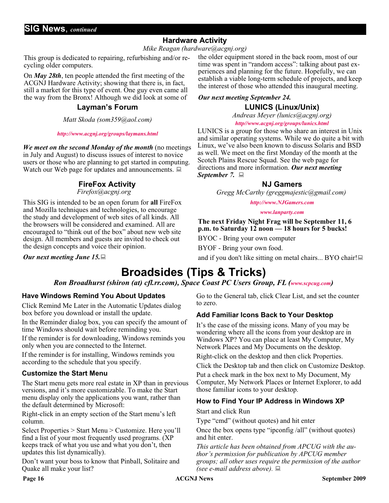## **Hardware Activity**

*Mike Reagan (hardware@acgnj.org)*

This group is dedicated to repairing, refurbishing and/or recycling older computers.

On *May 28th*, ten people attended the first meeting of the ACGNJ Hardware Activity; showing that there is, in fact, still a market for this type of event. One guy even came all the way from the Bronx! Although we did look at some of

#### **Layman's Forum**

*Matt Skoda (som359@aol.com)*

#### *<http://www.acgnj.org/groups/laymans.html>*

*We meet on the second Monday of the month* (no meetings in July and August) to discuss issues of interest to novice users or those who are planning to get started in computing. Watch our Web page for updates and announcements.  $\Box$ 

### **FireFox Activity**

*Firefox@acgnj.org*

This SIG is intended to be an open forum for **all** FireFox and Mozilla techniques and technologies, to encourage the study and development of web sites of all kinds. All the browsers will be considered and examined. All are encouraged to "think out of the box" about new web site design. All members and guests are invited to check out the design concepts and voice their opinion.

*Our next meeting June 15.*

the older equipment stored in the back room, most of our time was spent in "random access": talking about past experiences and planning for the future. Hopefully, we can establish a viable long-term schedule of projects, and keep the interest of those who attended this inaugural meeting.

#### **LUNICS (Linux/Unix)** *Our next meeting September 24.*

*Andreas Meyer (lunics@acgnj.org) <http//www.acgnj.org/groups/lunics.html>*

LUNICS is a group for those who share an interest in Unix and similar operating systems. While we do quite a bit with Linux, we've also been known to discuss Solaris and BSD as well. We meet on the first Monday of the month at the Scotch Plains Rescue Squad. See the web page for directions and more information. *Our next meeting September 7.*

#### **NJ Gamers**

*Gregg McCarthy (greggmajestic@gmail.com)*

*<http://www.NJGamers.com>*

*[www.lanparty.com](http://www.lanparty.com)*

**The next Friday Night Frag will be September 11, 6 p.m. to Saturday 12 noon — 18 hours for 5 bucks!**

BYOC - Bring your own computer

BYOF - Bring your own food.

and if you don't like sitting on metal chairs... BYO chair!

# **Broadsides (Tips & Tricks)**

*Ron Broadhurst (shiron (at) cfl.rr.com), Space Coast PC Users Group, FL ([www.scpcug.com\)](http://www.scpcug.com)*

#### **Have Windows Remind You About Updates**

Click Remind Me Later in the Automatic Updates dialog box before you download or install the update.

In the Reminder dialog box, you can specify the amount of time Windows should wait before reminding you.

If the reminder is for downloading, Windows reminds you only when you are connected to the Internet.

If the reminder is for installing, Windows reminds you according to the schedule that you specify.

#### **Customize the Start Menu**

The Start menu gets more real estate in XP than in previous versions, and it's more customizable. To make the Start menu display only the applications you want, rather than the default determined by Microsoft:

Right-click in an empty section of the Start menu's left column.

Select Properties > Start Menu > Customize. Here you'll find a list of your most frequently used programs. (XP keeps track of what you use and what you don't, then updates this list dynamically).

Don't want your boss to know that Pinball, Solitaire and Quake all make your list?

Go to the General tab, click Clear List, and set the counter to zero.

## **Add Familiar Icons Back to Your Desktop**

It's the case of the missing icons. Many of you may be wondering where all the icons from your desktop are in Windows XP? You can place at least My Computer, My Network Places and My Documents on the desktop.

Right-click on the desktop and then click Properties.

Click the Desktop tab and then click on Customize Desktop.

Put a check mark in the box next to My Document, My Computer, My Network Places or Internet Explorer, to add those familiar icons to your desktop.

#### **How to Find Your IP Address in Windows XP**

Start and click Run

Type "cmd" (without quotes) and hit enter

Once the box opens type "ipconfig /all" (without quotes) and hit enter.

*This article has been obtained from APCUG with the author's permission for publication by APCUG member groups; all other uses require the permission of the author (see e-mail address above).*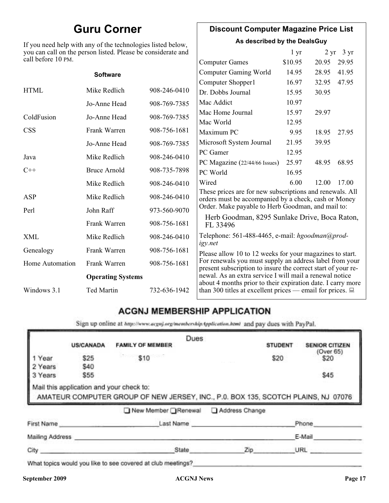# **Guru Corner**

If you need help with any of the technologies listed below, you can call on the person listed. Please be considerate and call before 10 PM.

## **Discount Computer Magazine Price List**

**As described by the DealsGuy**

| you can call on the person listed. Please be considerate and |                          |              | 1 <sub>yr</sub>                                                                                                         |         | $2 \text{ yr}$ 3 yr |       |
|--------------------------------------------------------------|--------------------------|--------------|-------------------------------------------------------------------------------------------------------------------------|---------|---------------------|-------|
| call before 10 PM.                                           |                          |              | <b>Computer Games</b>                                                                                                   | \$10.95 | 20.95               | 29.95 |
|                                                              | <b>Software</b>          |              | <b>Computer Gaming World</b>                                                                                            | 14.95   | 28.95               | 41.95 |
|                                                              |                          |              | Computer Shopper1                                                                                                       | 16.97   | 32.95               | 47.95 |
| <b>HTML</b>                                                  | Mike Redlich             | 908-246-0410 | Dr. Dobbs Journal                                                                                                       | 15.95   | 30.95               |       |
|                                                              | Jo-Anne Head             | 908-769-7385 | Mac Addict                                                                                                              | 10.97   |                     |       |
| ColdFusion                                                   | Jo-Anne Head             | 908-769-7385 | Mac Home Journal                                                                                                        | 15.97   | 29.97               |       |
|                                                              |                          |              | Mac World                                                                                                               | 12.95   |                     |       |
| <b>CSS</b>                                                   | Frank Warren             | 908-756-1681 | Maximum PC                                                                                                              | 9.95    | 18.95               | 27.95 |
|                                                              | Jo-Anne Head             | 908-769-7385 | Microsoft System Journal                                                                                                | 21.95   | 39.95               |       |
| Java                                                         | Mike Redlich             | 908-246-0410 | PC Gamer                                                                                                                | 12.95   |                     |       |
|                                                              |                          |              | PC Magazine (22/44/66 Issues)                                                                                           | 25.97   | 48.95               | 68.95 |
| $C++$                                                        | <b>Bruce Arnold</b>      | 908-735-7898 | PC World                                                                                                                | 16.95   |                     |       |
|                                                              | Mike Redlich             | 908-246-0410 | Wired                                                                                                                   | 6.00    | 12.00               | 17.00 |
| ASP                                                          | Mike Redlich             | 908-246-0410 | These prices are for new subscriptions and renewals. All<br>orders must be accompanied by a check, cash or Money        |         |                     |       |
| Perl                                                         | John Raff                | 973-560-9070 | Order. Make payable to Herb Goodman, and mail to:                                                                       |         |                     |       |
|                                                              | Frank Warren             | 908-756-1681 | Herb Goodman, 8295 Sunlake Drive, Boca Raton,<br>FL 33496                                                               |         |                     |       |
| XML                                                          | Mike Redlich             | 908-246-0410 | Telephone: 561-488-4465, e-mail: hgoodman@prod-<br>igy.net                                                              |         |                     |       |
| Genealogy                                                    | Frank Warren             | 908-756-1681 | Please allow 10 to 12 weeks for your magazines to start.                                                                |         |                     |       |
| <b>Home Automation</b>                                       | Frank Warren             | 908-756-1681 | For renewals you must supply an address label from your<br>present subscription to insure the correct start of your re- |         |                     |       |
|                                                              | <b>Operating Systems</b> |              | newal. As an extra service I will mail a renewal notice<br>about 4 months prior to their expiration date. I carry more  |         |                     |       |
| Windows 3.1                                                  | <b>Ted Martin</b>        | 732-636-1942 | than 300 titles at excellent prices — email for prices. $\Box$                                                          |         |                     |       |

## **ACGNJ MEMBERSHIP APPLICATION**

Sign up online at http://www.acguj.org/membershipApplication.html and pay dues with PayPal.

|                 |                                          |                                                                                   | Dues      |                |                       |
|-----------------|------------------------------------------|-----------------------------------------------------------------------------------|-----------|----------------|-----------------------|
|                 | <b>US/CANADA</b>                         | <b>FAMILY OF MEMBER</b>                                                           |           | <b>STUDENT</b> | <b>SENIOR CITIZEN</b> |
| 1 Year          | \$25                                     | 120100<br>\$10                                                                    |           | \$20           | (Over 65)<br>\$20     |
| 2 Years         | \$40                                     |                                                                                   |           |                |                       |
| 3 Years         | \$55                                     |                                                                                   |           |                | \$45                  |
|                 | Mail this application and your check to: | AMATEUR COMPUTER GROUP OF NEW JERSEY, INC., P.0. BOX 135, SCOTCH PLAINS, NJ 07076 |           |                |                       |
|                 |                                          | New Member Renewal Address Change                                                 |           |                |                       |
| First Name      |                                          |                                                                                   | Last Name |                | Phone                 |
| Mailing Address |                                          |                                                                                   |           |                | E-Mail                |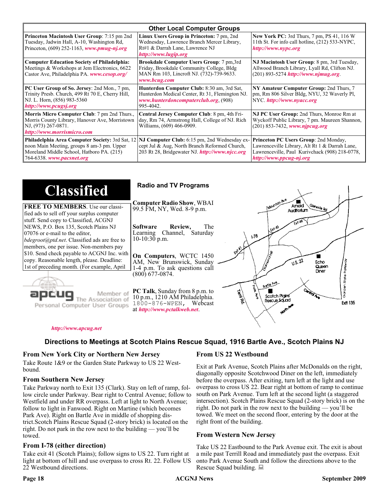| <b>Other Local Computer Groups</b>                                                                                                                                             |                                                                                                                                                           |                                                                                                                                                                      |  |  |
|--------------------------------------------------------------------------------------------------------------------------------------------------------------------------------|-----------------------------------------------------------------------------------------------------------------------------------------------------------|----------------------------------------------------------------------------------------------------------------------------------------------------------------------|--|--|
| <b>Princeton Macintosh User Group:</b> 7:15 pm 2nd<br>Tuesday, Jadwin Hall, A-10, Washington Rd,<br>Princeton, $(609)$ 252-1163, www.pmug-nj.org                               | Linux Users Group in Princeton: 7 pm, 2nd<br>Wednesday, Lawrence Branch Mercer Library,<br>Rt#1 & Darrah Lane, Lawrence NJ<br>http://www.lugip.org        | <b>New York PC:</b> 3rd Thurs, 7 pm, PS 41, 116 W<br>11th St. For info call hotline, (212) 533-NYPC,<br>http://www.nypc.org                                          |  |  |
| <b>Computer Education Society of Philadelphia:</b><br>Meetings & Workshops at Jem Electronics, 6622<br>Castor Ave, Philadelphia PA. www.cesop.org/                             | <b>Brookdale Computer Users Group:</b> 7 pm, 3rd<br>Friday, Brookdale Community College, Bldg<br>MAN Rm 103, Lincroft NJ. (732)-739-9633.<br>www.bcug.com | NJ Macintosh User Group: 8 pm, 3rd Tuesday,<br>Allwood Branch Library, Lyall Rd, Clifton NJ.<br>$(201) 893 - 5274$ http://www.njmug.org.                             |  |  |
| PC User Group of So. Jersey: 2nd Mon., 7 pm,<br>Trinity Presb. Church, 499 Rt 70 E, Cherry Hill,<br>NJ. L. Horn, (856) 983-5360<br>http://www.pcugsj.org                       | Hunterdon Computer Club: 8:30 am, 3rd Sat,<br>Hunterdon Medical Center, Rt 31, Flemington NJ.<br>www.hunterdoncomputerclub.org. (908)<br>995-4042.        | NY Amateur Computer Group: 2nd Thurs, 7<br>pm, Rm 806 Silver Bldg, NYU, 32 Waverly Pl,<br>NYC http://www.nyacc.org                                                   |  |  |
| Morris Micro Computer Club: 7 pm 2nd Thurs.,<br>Morris County Library, Hanover Ave, Morristown<br>NJ, (973) 267-0871.<br>http://www.morrismicro.com                            | Central Jersey Computer Club: 8 pm, 4th Fri-<br>day, Rm 74, Armstrong Hall, College of NJ. Rich<br>Williams, (609) 466-0909.                              | NJ PC User Group: 2nd Thurs, Monroe Rm at<br>Wyckoff Public Library, 7 pm. Maureen Shannon,<br>$(201)$ 853-7432, www.njpcug.org                                      |  |  |
| <b>Philadelphia Area Computer Society: 3rd Sat, 12</b><br>noon Main Meeting, groups 8 am-3 pm. Upper<br>Moreland Middle School, Hatboro PA. (215)<br>764-6338. www.pacsnet.org | NJ Computer Club: 6:15 pm, 2nd Wednesday ex-<br>cept Jul & Aug, North Branch Reformed Church,<br>203 Rt 28, Bridgewater NJ. http://www.njcc.org           | Princeton PC Users Group: 2nd Monday,<br>Lawrenceville Library, Alt Rt 1 & Darrah Lane,<br>Lawrenceville, Paul Kurivchack (908) 218-0778,<br>http://www.ppcug-nj.org |  |  |

| <b>Classified</b>                                                                                                                                                                                                 | <b>Radio and TV Programs</b>                                                                                                                                                                                                       |
|-------------------------------------------------------------------------------------------------------------------------------------------------------------------------------------------------------------------|------------------------------------------------------------------------------------------------------------------------------------------------------------------------------------------------------------------------------------|
| <b>FREE TO MEMBERS.</b> Use our classi-<br>fied ads to sell off your surplus computer                                                                                                                             | <b>Computer Radio Show, WBAI</b><br>Amold<br>Slenside Rd<br>99.5 FM, NY, Wed. 8-9 p.m.<br>Auditorium                                                                                                                               |
| stuff. Send copy to Classified, ACGNJ<br>NEWS, P.O. Box 135, Scotch Plains NJ<br>07076 or e-mail to the editor,<br><i>bdegroot@ptd.net.</i> Classified ads are free to<br>members, one per issue. Non-members pay | <b>Software</b><br>Review,<br>The<br>LEXA A3<br>Learning Channel, Saturday<br>178<br>$10-10:30$ p.m.                                                                                                                               |
| \$10. Send check payable to ACGNJ Inc. with<br>copy. Reasonable length, please. Deadline:<br>1st of preceding month. (For example, April                                                                          | On Computers, WCTC 1450<br>0.5.22<br>AM, New Brunswick, Sunday<br>Echo<br>Queen<br>1-4 p.m. To ask questions call<br>Diner<br>$(800)$ 677-0874.                                                                                    |
| Member of<br>Personal Computer User Groups                                                                                                                                                                        | Borlo Ave.<br>$C_{\rm{max}}$<br>PC Talk, Sunday from 8 p.m. to<br>Terri Rd.<br>Scotch Pigins<br>10 p.m., 1210 AM Philadelphia.<br>Rescue Sound<br><b>Ext1 135</b><br>$1800 - 876 - WPEN$ , Webcast<br>at http://www.pctalkweb.net. |

#### *<http://www.apcug.net>*

#### **Directions to Meetings at Scotch Plains Rescue Squad, 1916 Bartle Ave., Scotch Plains NJ**

#### **From New York City or Northern New Jersey**

Take Route 1&9 or the Garden State Parkway to US 22 Westbound.

#### **From Southern New Jersey**

Take Parkway north to Exit 135 (Clark). Stay on left of ramp, follow circle under Parkway. Bear right to Central Avenue; follow to Westfield and under RR overpass. Left at light to North Avenue; follow to light in Fanwood. Right on Martine (which becomes Park Ave). Right on Bartle Ave in middle of shopping district.Scotch Plains Rescue Squad (2-story brick) is located on the right. Do not park in the row next to the building — you'll be towed.

#### **From I-78 (either direction)**

Take exit 41 (Scotch Plains); follow signs to US 22. Turn right at light at bottom of hill and use overpass to cross Rt. 22. Follow US 22 Westbound directions.

#### **From US 22 Westbound**

 $\zeta$ 

Exit at Park Avenue, Scotch Plains after McDonalds on the right, diagonally opposite Scotchwood Diner on the left, immediately before the overpass. After exiting, turn left at the light and use overpass to cross US 22. Bear right at bottom of ramp to continue south on Park Avenue. Turn left at the second light (a staggered intersection). Scotch Plains Rescue Squad (2-story brick) is on the right. Do not park in the row next to the building — you'll be towed. We meet on the second floor, entering by the door at the right front of the building.

#### **From Western New Jersey**

Take US 22 Eastbound to the Park Avenue exit. The exit is about a mile past Terrill Road and immediately past the overpass. Exit onto Park Avenue South and follow the directions above to the Rescue Squad building.